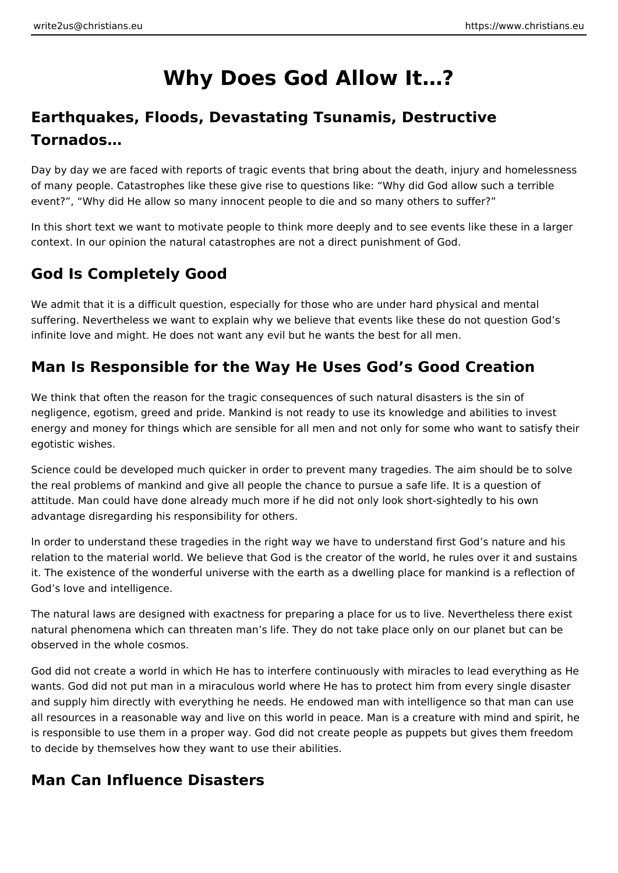# **Why Does God Allow It…?**

## **Earthquakes, Floods, Devastating Tsunamis, Destructive Tornados…**

Day by day we are faced with reports of tragic events that bring about the death, injury and homelessness of many people. Catastrophes like these give rise to questions like: "Why did God allow such a terrible event?", "Why did He allow so many innocent people to die and so many others to suffer?"

In this short text we want to motivate people to think more deeply and to see events like these in a larger context. In our opinion the natural catastrophes are not a direct punishment of God.

### **God Is Completely Good**

We admit that it is a difficult question, especially for those who are under hard physical and mental suffering. Nevertheless we want to explain why we believe that events like these do not question God's infinite love and might. He does not want any evil but he wants the best for all men.

### **Man Is Responsible for the Way He Uses God's Good Creation**

We think that often the reason for the tragic consequences of such natural disasters is the sin of negligence, egotism, greed and pride. Mankind is not ready to use its knowledge and abilities to invest energy and money for things which are sensible for all men and not only for some who want to satisfy their egotistic wishes.

Science could be developed much quicker in order to prevent many tragedies. The aim should be to solve the real problems of mankind and give all people the chance to pursue a safe life. It is a question of attitude. Man could have done already much more if he did not only look short-sightedly to his own advantage disregarding his responsibility for others.

In order to understand these tragedies in the right way we have to understand first God's nature and his relation to the material world. We believe that God is the creator of the world, he rules over it and sustains it. The existence of the wonderful universe with the earth as a dwelling place for mankind is a reflection of God's love and intelligence.

The natural laws are designed with exactness for preparing a place for us to live. Nevertheless there exist natural phenomena which can threaten man's life. They do not take place only on our planet but can be observed in the whole cosmos.

God did not create a world in which He has to interfere continuously with miracles to lead everything as He wants. God did not put man in a miraculous world where He has to protect him from every single disaster and supply him directly with everything he needs. He endowed man with intelligence so that man can use all resources in a reasonable way and live on this world in peace. Man is a creature with mind and spirit, he is responsible to use them in a proper way. God did not create people as puppets but gives them freedom to decide by themselves how they want to use their abilities.

#### **Man Can Influence Disasters**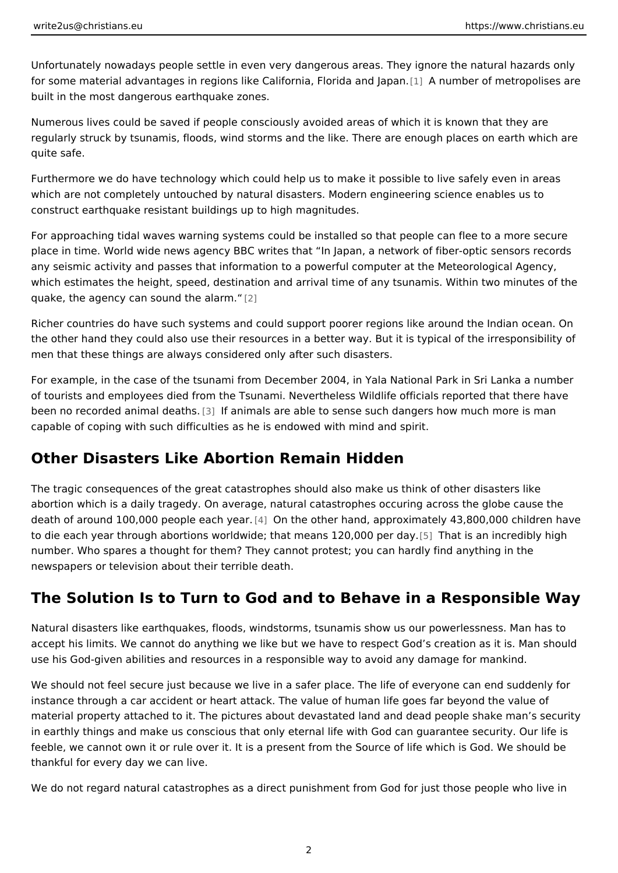Unfortunately nowadays people settle in even very dangerous areas. They ignore for some material advantages in regions like Califo[rni](#page-2-0)aA Fhlomibelear and din Leatpapolises built in the most dangerous earthquake zones.

Numerous lives could be saved if people consciously avoided areas of which it is regularly struck by tsunamis, floods, wind storms and the like. There are enough quite safe.

Furthermore we do have technology which could help us to make it possible to li which are not completely untouched by natural disasters. Modern engineering sc construct earthquake resistant buildings up to high magnitudes.

For approaching tidal waves warning systems could be installed so that people c place in time. World wide news agency BBC writes that In Japan, a network of f any seismic activity and passes that information to a powerful computer at the M which estimates the height, speed, destination and arrival time of any tsunamis. quake, [th](#page-2-0)e agency can sound  $\mathbb{Z}$ he alarm.

Richer countries do have such systems and could support poorer regions like ard the other hand they could also use their resources in a better way. But it is typi men that these things are always considered only after such disasters.

For example, in the case of the tsunami from December 2004, in Yala National P of tourists and employees died from the Tsunami. Nevertheless Wildlife officials been no recorded anima 3d efatahsimals are able to sense such dangers how much m capable of coping with such difficulties as he is endowed with mind and spirit.

#### Other Disasters Like Abortion Remain Hidden

The tragic consequences of the great catastrophes should also make us think of abortion which is a daily tragedy. On average, natural catastrophes occuring acr death of around 100,000 people and the acther hand, approximately 43,800,000 c to die each year through abortions worldwide; that me@n5 highen gener deady. bly high number. Who spares a thought for them? They cannot protest; you can hardly fin newspapers or television about their terrible death.

#### The Solution Is to Turn to God and to Behave in a Respo

Natural disasters like earthquakes, floods, windstorms, tsunamis show us our po accept his limits. We cannot do anything we like but we have to respect God s c use his God-given abilities and resources in a responsible way to avoid any dam

We should not feel secure just because we live in a safer place. The life of ever instance through a car accident or heart attack. The value of human life goes fa material property attached to it. The pictures about devastated land and dead pe in earthly things and make us conscious that only eternal life with God can guar feeble, we cannot own it or rule over it. It is a present from the Source of life w thankful for every day we can live.

We do not regard natural catastrophes as a direct punishment from God for just